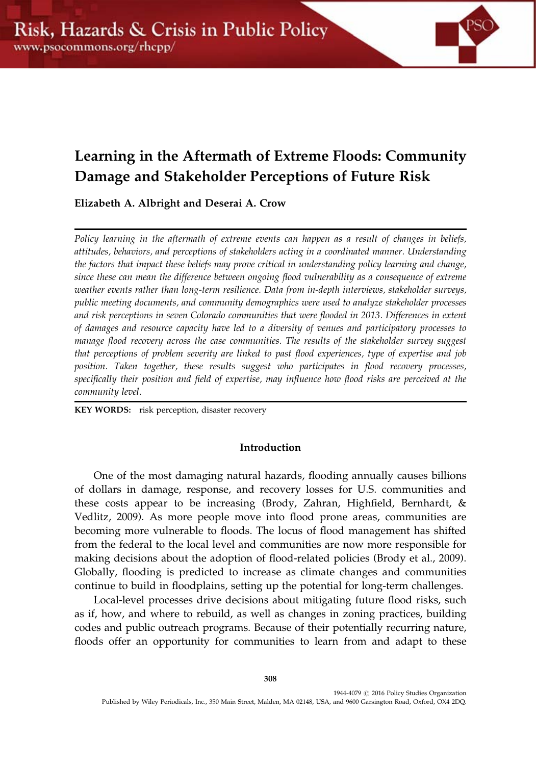# Learning in the Aftermath of Extreme Floods: Community Damage and Stakeholder Perceptions of Future Risk

Elizabeth A. Albright and Deserai A. Crow

Policy learning in the aftermath of extreme events can happen as a result of changes in beliefs, attitudes, behaviors, and perceptions of stakeholders acting in a coordinated manner. Understanding the factors that impact these beliefs may prove critical in understanding policy learning and change, since these can mean the difference between ongoing flood vulnerability as a consequence of extreme weather events rather than long-term resilience. Data from in-depth interviews, stakeholder surveys, public meeting documents, and community demographics were used to analyze stakeholder processes and risk perceptions in seven Colorado communities that were flooded in 2013. Differences in extent of damages and resource capacity have led to a diversity of venues and participatory processes to manage flood recovery across the case communities. The results of the stakeholder survey suggest that perceptions of problem severity are linked to past flood experiences, type of expertise and job position. Taken together, these results suggest who participates in flood recovery processes, specifically their position and field of expertise, may influence how flood risks are perceived at the community level.

KEY WORDS: risk perception, disaster recovery

## Introduction

One of the most damaging natural hazards, flooding annually causes billions of dollars in damage, response, and recovery losses for U.S. communities and these costs appear to be increasing (Brody, Zahran, Highfield, Bernhardt, & Vedlitz, 2009). As more people move into flood prone areas, communities are becoming more vulnerable to floods. The locus of flood management has shifted from the federal to the local level and communities are now more responsible for making decisions about the adoption of flood-related policies (Brody et al., 2009). Globally, flooding is predicted to increase as climate changes and communities continue to build in floodplains, setting up the potential for long-term challenges.

Local-level processes drive decisions about mitigating future flood risks, such as if, how, and where to rebuild, as well as changes in zoning practices, building codes and public outreach programs. Because of their potentially recurring nature, floods offer an opportunity for communities to learn from and adapt to these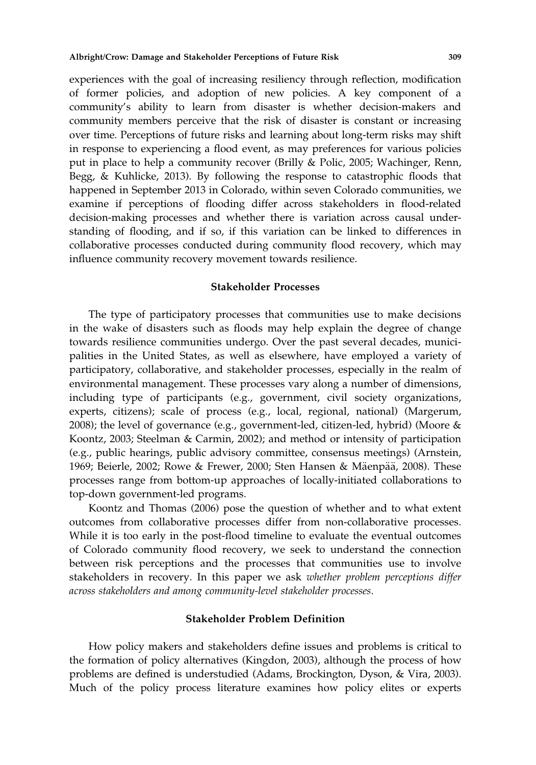experiences with the goal of increasing resiliency through reflection, modification of former policies, and adoption of new policies. A key component of a community's ability to learn from disaster is whether decision-makers and community members perceive that the risk of disaster is constant or increasing over time. Perceptions of future risks and learning about long-term risks may shift in response to experiencing a flood event, as may preferences for various policies put in place to help a community recover (Brilly & Polic, 2005; Wachinger, Renn, Begg, & Kuhlicke, 2013). By following the response to catastrophic floods that happened in September 2013 in Colorado, within seven Colorado communities, we examine if perceptions of flooding differ across stakeholders in flood-related decision-making processes and whether there is variation across causal understanding of flooding, and if so, if this variation can be linked to differences in collaborative processes conducted during community flood recovery, which may influence community recovery movement towards resilience.

## Stakeholder Processes

The type of participatory processes that communities use to make decisions in the wake of disasters such as floods may help explain the degree of change towards resilience communities undergo. Over the past several decades, municipalities in the United States, as well as elsewhere, have employed a variety of participatory, collaborative, and stakeholder processes, especially in the realm of environmental management. These processes vary along a number of dimensions, including type of participants (e.g., government, civil society organizations, experts, citizens); scale of process (e.g., local, regional, national) (Margerum, 2008); the level of governance (e.g., government-led, citizen-led, hybrid) (Moore & Koontz, 2003; Steelman & Carmin, 2002); and method or intensity of participation (e.g., public hearings, public advisory committee, consensus meetings) (Arnstein, 1969; Beierle, 2002; Rowe & Frewer, 2000; Sten Hansen & Mäenpää, 2008). These processes range from bottom-up approaches of locally-initiated collaborations to top-down government-led programs.

Koontz and Thomas (2006) pose the question of whether and to what extent outcomes from collaborative processes differ from non-collaborative processes. While it is too early in the post-flood timeline to evaluate the eventual outcomes of Colorado community flood recovery, we seek to understand the connection between risk perceptions and the processes that communities use to involve stakeholders in recovery. In this paper we ask whether problem perceptions differ across stakeholders and among community-level stakeholder processes.

## Stakeholder Problem Definition

How policy makers and stakeholders define issues and problems is critical to the formation of policy alternatives (Kingdon, 2003), although the process of how problems are defined is understudied (Adams, Brockington, Dyson, & Vira, 2003). Much of the policy process literature examines how policy elites or experts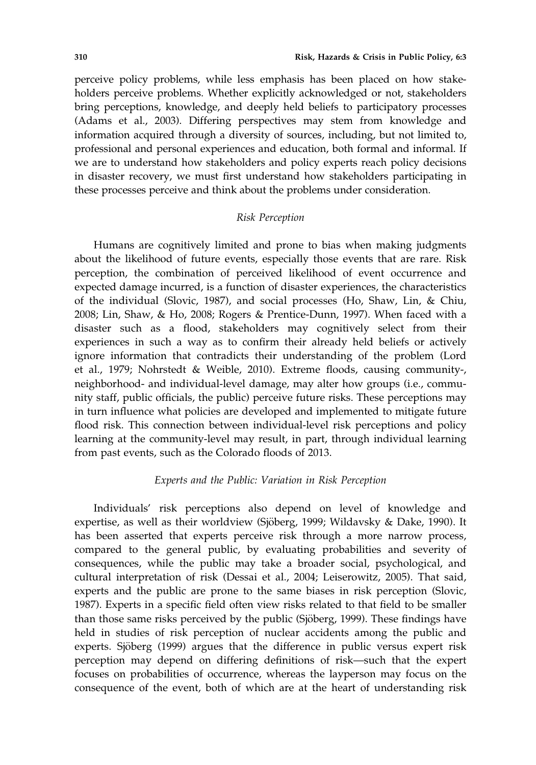perceive policy problems, while less emphasis has been placed on how stakeholders perceive problems. Whether explicitly acknowledged or not, stakeholders bring perceptions, knowledge, and deeply held beliefs to participatory processes (Adams et al., 2003). Differing perspectives may stem from knowledge and information acquired through a diversity of sources, including, but not limited to, professional and personal experiences and education, both formal and informal. If we are to understand how stakeholders and policy experts reach policy decisions in disaster recovery, we must first understand how stakeholders participating in these processes perceive and think about the problems under consideration.

## Risk Perception

Humans are cognitively limited and prone to bias when making judgments about the likelihood of future events, especially those events that are rare. Risk perception, the combination of perceived likelihood of event occurrence and expected damage incurred, is a function of disaster experiences, the characteristics of the individual (Slovic, 1987), and social processes (Ho, Shaw, Lin, & Chiu, 2008; Lin, Shaw, & Ho, 2008; Rogers & Prentice-Dunn, 1997). When faced with a disaster such as a flood, stakeholders may cognitively select from their experiences in such a way as to confirm their already held beliefs or actively ignore information that contradicts their understanding of the problem (Lord et al., 1979; Nohrstedt & Weible, 2010). Extreme floods, causing community-, neighborhood- and individual-level damage, may alter how groups (i.e., community staff, public officials, the public) perceive future risks. These perceptions may in turn influence what policies are developed and implemented to mitigate future flood risk. This connection between individual-level risk perceptions and policy learning at the community-level may result, in part, through individual learning from past events, such as the Colorado floods of 2013.

## Experts and the Public: Variation in Risk Perception

Individuals' risk perceptions also depend on level of knowledge and expertise, as well as their worldview (Sjöberg, 1999; Wildavsky & Dake, 1990). It has been asserted that experts perceive risk through a more narrow process, compared to the general public, by evaluating probabilities and severity of consequences, while the public may take a broader social, psychological, and cultural interpretation of risk (Dessai et al., 2004; Leiserowitz, 2005). That said, experts and the public are prone to the same biases in risk perception (Slovic, 1987). Experts in a specific field often view risks related to that field to be smaller than those same risks perceived by the public (Sjöberg, 1999). These findings have held in studies of risk perception of nuclear accidents among the public and experts. Sjöberg (1999) argues that the difference in public versus expert risk perception may depend on differing definitions of risk—such that the expert focuses on probabilities of occurrence, whereas the layperson may focus on the consequence of the event, both of which are at the heart of understanding risk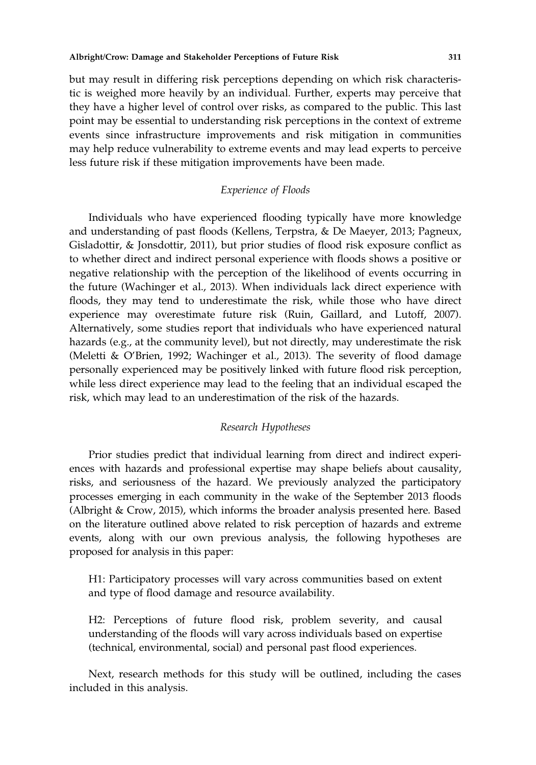but may result in differing risk perceptions depending on which risk characteristic is weighed more heavily by an individual. Further, experts may perceive that they have a higher level of control over risks, as compared to the public. This last point may be essential to understanding risk perceptions in the context of extreme events since infrastructure improvements and risk mitigation in communities may help reduce vulnerability to extreme events and may lead experts to perceive less future risk if these mitigation improvements have been made.

## Experience of Floods

Individuals who have experienced flooding typically have more knowledge and understanding of past floods (Kellens, Terpstra, & De Maeyer, 2013; Pagneux, Gisladottir, & Jonsdottir, 2011), but prior studies of flood risk exposure conflict as to whether direct and indirect personal experience with floods shows a positive or negative relationship with the perception of the likelihood of events occurring in the future (Wachinger et al., 2013). When individuals lack direct experience with floods, they may tend to underestimate the risk, while those who have direct experience may overestimate future risk (Ruin, Gaillard, and Lutoff, 2007). Alternatively, some studies report that individuals who have experienced natural hazards (e.g., at the community level), but not directly, may underestimate the risk (Meletti & O'Brien, 1992; Wachinger et al., 2013). The severity of flood damage personally experienced may be positively linked with future flood risk perception, while less direct experience may lead to the feeling that an individual escaped the risk, which may lead to an underestimation of the risk of the hazards.

## Research Hypotheses

Prior studies predict that individual learning from direct and indirect experiences with hazards and professional expertise may shape beliefs about causality, risks, and seriousness of the hazard. We previously analyzed the participatory processes emerging in each community in the wake of the September 2013 floods (Albright & Crow, 2015), which informs the broader analysis presented here. Based on the literature outlined above related to risk perception of hazards and extreme events, along with our own previous analysis, the following hypotheses are proposed for analysis in this paper:

H1: Participatory processes will vary across communities based on extent and type of flood damage and resource availability.

H2: Perceptions of future flood risk, problem severity, and causal understanding of the floods will vary across individuals based on expertise (technical, environmental, social) and personal past flood experiences.

Next, research methods for this study will be outlined, including the cases included in this analysis.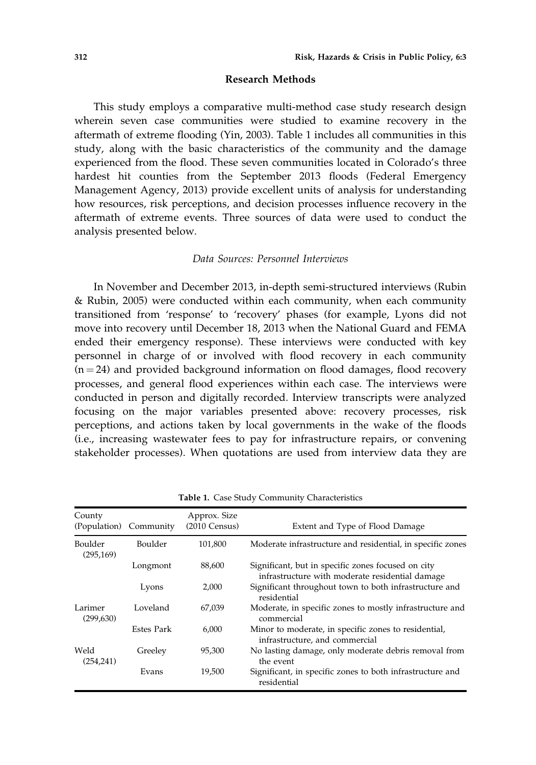## Research Methods

This study employs a comparative multi-method case study research design wherein seven case communities were studied to examine recovery in the aftermath of extreme flooding (Yin, 2003). Table 1 includes all communities in this study, along with the basic characteristics of the community and the damage experienced from the flood. These seven communities located in Colorado's three hardest hit counties from the September 2013 floods (Federal Emergency Management Agency, 2013) provide excellent units of analysis for understanding how resources, risk perceptions, and decision processes influence recovery in the aftermath of extreme events. Three sources of data were used to conduct the analysis presented below.

## Data Sources: Personnel Interviews

In November and December 2013, in-depth semi-structured interviews (Rubin & Rubin, 2005) were conducted within each community, when each community transitioned from 'response' to 'recovery' phases (for example, Lyons did not move into recovery until December 18, 2013 when the National Guard and FEMA ended their emergency response). These interviews were conducted with key personnel in charge of or involved with flood recovery in each community  $(n = 24)$  and provided background information on flood damages, flood recovery processes, and general flood experiences within each case. The interviews were conducted in person and digitally recorded. Interview transcripts were analyzed focusing on the major variables presented above: recovery processes, risk perceptions, and actions taken by local governments in the wake of the floods (i.e., increasing wastewater fees to pay for infrastructure repairs, or convening stakeholder processes). When quotations are used from interview data they are

| County                | (Population) Community | Approx. Size<br>$(2010 \text{ Census})$ | Extent and Type of Flood Damage                                                                       |
|-----------------------|------------------------|-----------------------------------------|-------------------------------------------------------------------------------------------------------|
| Boulder<br>(295, 169) | Boulder                | 101,800                                 | Moderate infrastructure and residential, in specific zones                                            |
|                       | Longmont               | 88,600                                  | Significant, but in specific zones focused on city<br>infrastructure with moderate residential damage |
|                       | Lyons                  | 2,000                                   | Significant throughout town to both infrastructure and<br>residential                                 |
| Larimer<br>(299, 630) | Loveland               | 67,039                                  | Moderate, in specific zones to mostly infrastructure and<br>commercial                                |
|                       | Estes Park             | 6,000                                   | Minor to moderate, in specific zones to residential,<br>infrastructure, and commercial                |
| Weld<br>(254, 241)    | Greeley                | 95,300                                  | No lasting damage, only moderate debris removal from<br>the event                                     |
|                       | Evans                  | 19,500                                  | Significant, in specific zones to both infrastructure and<br>residential                              |

Table 1. Case Study Community Characteristics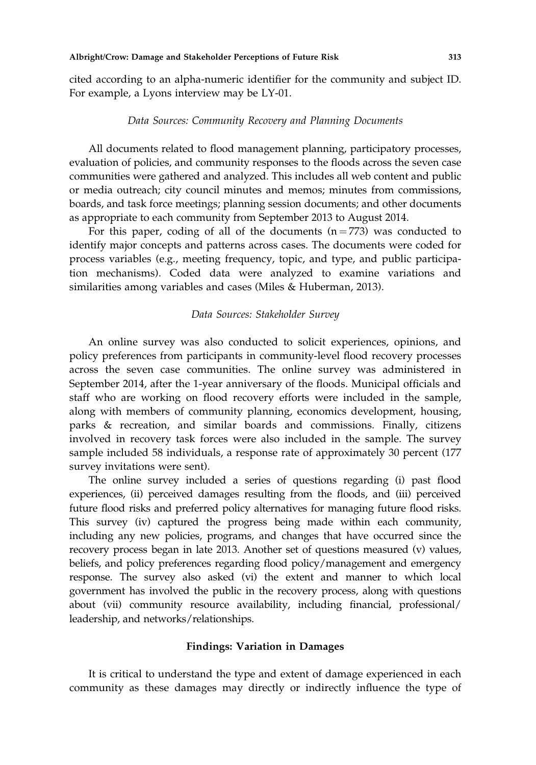cited according to an alpha-numeric identifier for the community and subject ID. For example, a Lyons interview may be LY-01.

## Data Sources: Community Recovery and Planning Documents

All documents related to flood management planning, participatory processes, evaluation of policies, and community responses to the floods across the seven case communities were gathered and analyzed. This includes all web content and public or media outreach; city council minutes and memos; minutes from commissions, boards, and task force meetings; planning session documents; and other documents as appropriate to each community from September 2013 to August 2014.

For this paper, coding of all of the documents  $(n = 773)$  was conducted to identify major concepts and patterns across cases. The documents were coded for process variables (e.g., meeting frequency, topic, and type, and public participation mechanisms). Coded data were analyzed to examine variations and similarities among variables and cases (Miles & Huberman, 2013).

## Data Sources: Stakeholder Survey

An online survey was also conducted to solicit experiences, opinions, and policy preferences from participants in community-level flood recovery processes across the seven case communities. The online survey was administered in September 2014, after the 1-year anniversary of the floods. Municipal officials and staff who are working on flood recovery efforts were included in the sample, along with members of community planning, economics development, housing, parks & recreation, and similar boards and commissions. Finally, citizens involved in recovery task forces were also included in the sample. The survey sample included 58 individuals, a response rate of approximately 30 percent (177 survey invitations were sent).

The online survey included a series of questions regarding (i) past flood experiences, (ii) perceived damages resulting from the floods, and (iii) perceived future flood risks and preferred policy alternatives for managing future flood risks. This survey (iv) captured the progress being made within each community, including any new policies, programs, and changes that have occurred since the recovery process began in late 2013. Another set of questions measured (v) values, beliefs, and policy preferences regarding flood policy/management and emergency response. The survey also asked (vi) the extent and manner to which local government has involved the public in the recovery process, along with questions about (vii) community resource availability, including financial, professional/ leadership, and networks/relationships.

#### Findings: Variation in Damages

It is critical to understand the type and extent of damage experienced in each community as these damages may directly or indirectly influence the type of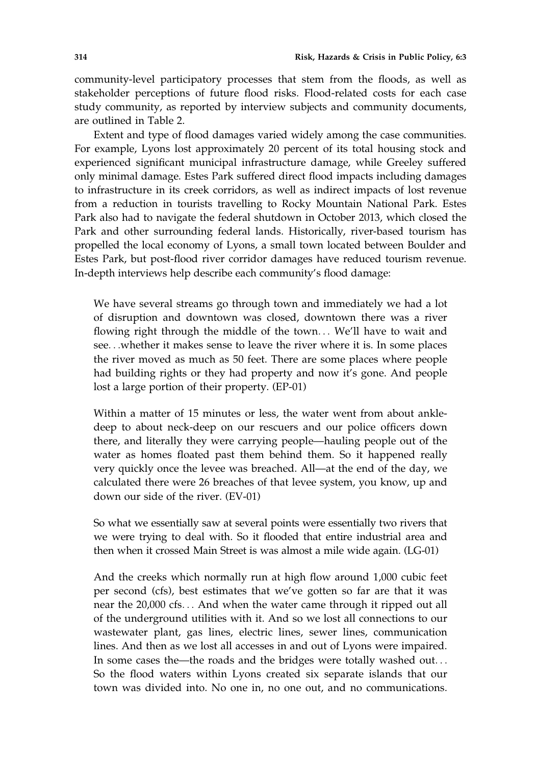community-level participatory processes that stem from the floods, as well as stakeholder perceptions of future flood risks. Flood-related costs for each case study community, as reported by interview subjects and community documents, are outlined in Table 2.

Extent and type of flood damages varied widely among the case communities. For example, Lyons lost approximately 20 percent of its total housing stock and experienced significant municipal infrastructure damage, while Greeley suffered only minimal damage. Estes Park suffered direct flood impacts including damages to infrastructure in its creek corridors, as well as indirect impacts of lost revenue from a reduction in tourists travelling to Rocky Mountain National Park. Estes Park also had to navigate the federal shutdown in October 2013, which closed the Park and other surrounding federal lands. Historically, river-based tourism has propelled the local economy of Lyons, a small town located between Boulder and Estes Park, but post-flood river corridor damages have reduced tourism revenue. In-depth interviews help describe each community's flood damage:

We have several streams go through town and immediately we had a lot of disruption and downtown was closed, downtown there was a river flowing right through the middle of the town... We'll have to wait and see...whether it makes sense to leave the river where it is. In some places the river moved as much as 50 feet. There are some places where people had building rights or they had property and now it's gone. And people lost a large portion of their property. (EP-01)

Within a matter of 15 minutes or less, the water went from about ankledeep to about neck-deep on our rescuers and our police officers down there, and literally they were carrying people—hauling people out of the water as homes floated past them behind them. So it happened really very quickly once the levee was breached. All—at the end of the day, we calculated there were 26 breaches of that levee system, you know, up and down our side of the river. (EV-01)

So what we essentially saw at several points were essentially two rivers that we were trying to deal with. So it flooded that entire industrial area and then when it crossed Main Street is was almost a mile wide again. (LG-01)

And the creeks which normally run at high flow around 1,000 cubic feet per second (cfs), best estimates that we've gotten so far are that it was near the 20,000 cfs... And when the water came through it ripped out all of the underground utilities with it. And so we lost all connections to our wastewater plant, gas lines, electric lines, sewer lines, communication lines. And then as we lost all accesses in and out of Lyons were impaired. In some cases the—the roads and the bridges were totally washed out... So the flood waters within Lyons created six separate islands that our town was divided into. No one in, no one out, and no communications.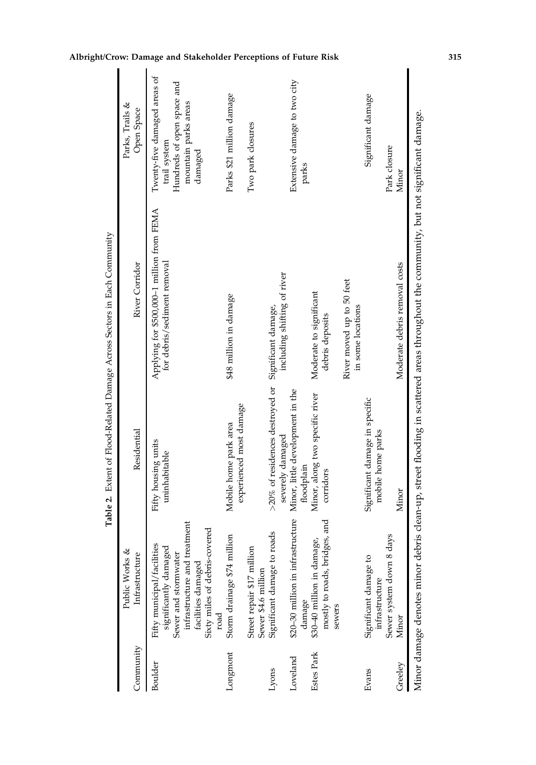|              |                                                                                                                                                                            |                                                                         | ante z. Extern of Linda Letter Daniel And Section in Each Continuity                                                                 |                                                                                                               |
|--------------|----------------------------------------------------------------------------------------------------------------------------------------------------------------------------|-------------------------------------------------------------------------|--------------------------------------------------------------------------------------------------------------------------------------|---------------------------------------------------------------------------------------------------------------|
| Community    | Public Works &<br>Infrastructure                                                                                                                                           | Residential                                                             | River Corridor                                                                                                                       | Parks, Trails &<br>Open Space                                                                                 |
| Boulder      | infrastructure and treatment<br>Sixty miles of debris-covered<br>Fifty municipal/facilities<br>significantly damaged<br>Sewer and stormwater<br>facilities damaged<br>road | Fifty housing units<br>uninhabitable                                    | Applying for \$500,000-1 million from FEMA<br>for debris/sediment removal                                                            | Twenty-five damaged areas of<br>Hundreds of open space and<br>mountain parks areas<br>trail system<br>damaged |
| Longmont     | Storm drainage \$74 million                                                                                                                                                | experienced most damage<br>Mobile home park area                        | \$48 million in damage                                                                                                               | Parks \$21 million damage                                                                                     |
|              | Street repair \$17 million<br>Sewer \$4.6 million                                                                                                                          |                                                                         |                                                                                                                                      | Two park closures                                                                                             |
| <b>Lyons</b> | Significant damage to roads                                                                                                                                                | >20% of residences destroyed or Significant damage,<br>severely damaged | including shifting of river                                                                                                          |                                                                                                               |
| Loveland     | \$20-30 million in infrastructure<br>damage                                                                                                                                | Minor, little development in the<br>floodplain                          |                                                                                                                                      | Extensive damage to two city<br>parks                                                                         |
| Estes Park   | mostly to roads, bridges, and<br>\$30-40 million in damage,<br>sewers                                                                                                      | Minor, along two specific river<br>corridors                            | Moderate to significant<br>debris deposits                                                                                           |                                                                                                               |
|              |                                                                                                                                                                            |                                                                         | River moved up to 50 feet<br>in some locations                                                                                       |                                                                                                               |
| Evans        | Significant damage to<br>infrastructure                                                                                                                                    | Significant damage in specific<br>mobile home parks                     |                                                                                                                                      | Significant damage                                                                                            |
| Greeley      | Sewer system down 8 days<br>Minor                                                                                                                                          | Minor                                                                   | Moderate debris removal costs                                                                                                        | Park closure<br>Minor                                                                                         |
|              |                                                                                                                                                                            |                                                                         | Minor damage denotes minor debris clean-up, street flooding in scattered areas throughout the community, but not significant damage. |                                                                                                               |

**Table 2.** Extent of Flood-Related Damage Across Sectors in Each Community Table 2. Extent of Flood-Related Damage Across Sectors in Each Community

Albright/Crow: Damage and Stakeholder Perceptions of Future Risk 315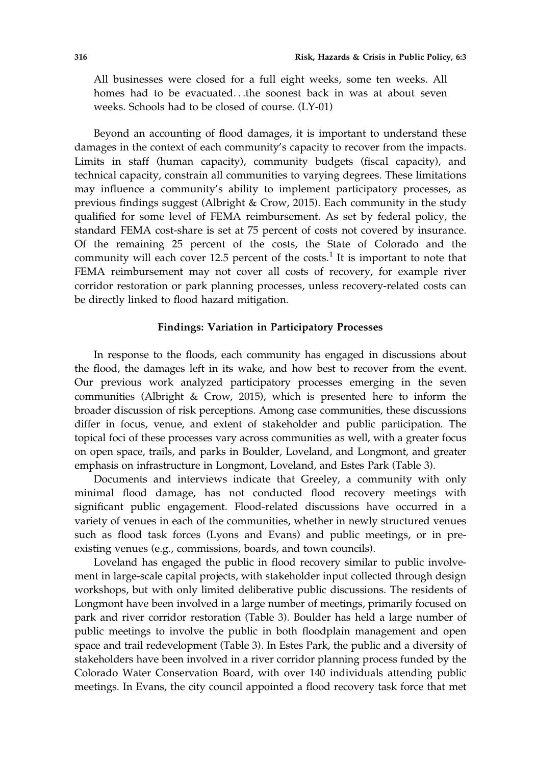All businesses were closed for a full eight weeks, some ten weeks. All homes had to be evacuated...the soonest back in was at about seven weeks. Schools had to be closed of course. (LY-01)

Beyond an accounting of flood damages, it is important to understand these damages in the context of each community's capacity to recover from the impacts. Limits in staff (human capacity), community budgets (fiscal capacity), and technical capacity, constrain all communities to varying degrees. These limitations may influence a community's ability to implement participatory processes, as previous findings suggest (Albright & Crow, 2015). Each community in the study qualified for some level of FEMA reimbursement. As set by federal policy, the standard FEMA cost-share is set at 75 percent of costs not covered by insurance. Of the remaining 25 percent of the costs, the State of Colorado and the community will each cover 12.5 percent of the costs. $<sup>1</sup>$  It is important to note that</sup> FEMA reimbursement may not cover all costs of recovery, for example river corridor restoration or park planning processes, unless recovery-related costs can be directly linked to flood hazard mitigation.

## Findings: Variation in Participatory Processes

In response to the floods, each community has engaged in discussions about the flood, the damages left in its wake, and how best to recover from the event. Our previous work analyzed participatory processes emerging in the seven communities (Albright & Crow, 2015), which is presented here to inform the broader discussion of risk perceptions. Among case communities, these discussions differ in focus, venue, and extent of stakeholder and public participation. The topical foci of these processes vary across communities as well, with a greater focus on open space, trails, and parks in Boulder, Loveland, and Longmont, and greater emphasis on infrastructure in Longmont, Loveland, and Estes Park (Table 3).

Documents and interviews indicate that Greeley, a community with only minimal flood damage, has not conducted flood recovery meetings with significant public engagement. Flood-related discussions have occurred in a variety of venues in each of the communities, whether in newly structured venues such as flood task forces (Lyons and Evans) and public meetings, or in preexisting venues (e.g., commissions, boards, and town councils).

Loveland has engaged the public in flood recovery similar to public involvement in large-scale capital projects, with stakeholder input collected through design workshops, but with only limited deliberative public discussions. The residents of Longmont have been involved in a large number of meetings, primarily focused on park and river corridor restoration (Table 3). Boulder has held a large number of public meetings to involve the public in both floodplain management and open space and trail redevelopment (Table 3). In Estes Park, the public and a diversity of stakeholders have been involved in a river corridor planning process funded by the Colorado Water Conservation Board, with over 140 individuals attending public meetings. In Evans, the city council appointed a flood recovery task force that met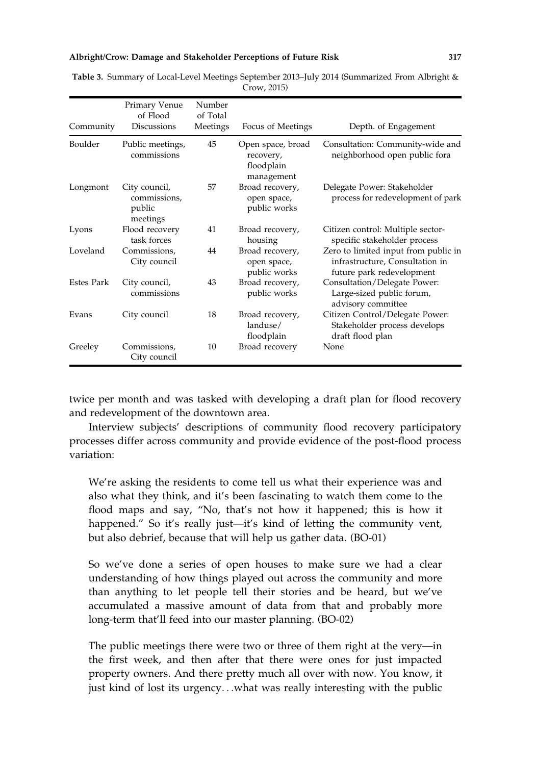#### Albright/Crow: Damage and Stakeholder Perceptions of Future Risk 317

| Community  | Primary Venue<br>of Flood<br><b>Discussions</b>     | Number<br>of Total<br>Meetings | Focus of Meetings                                          | Depth. of Engagement                                                                                 |
|------------|-----------------------------------------------------|--------------------------------|------------------------------------------------------------|------------------------------------------------------------------------------------------------------|
| Boulder    | Public meetings,<br>commissions                     | 45                             | Open space, broad<br>recovery,<br>floodplain<br>management | Consultation: Community-wide and<br>neighborhood open public fora                                    |
| Longmont   | City council,<br>commissions,<br>public<br>meetings | 57                             | Broad recovery,<br>open space,<br>public works             | Delegate Power: Stakeholder<br>process for redevelopment of park                                     |
| Lyons      | Flood recovery<br>task forces                       | 41                             | Broad recovery,<br>housing                                 | Citizen control: Multiple sector-<br>specific stakeholder process                                    |
| Loveland   | Commissions,<br>City council                        | 44                             | Broad recovery,<br>open space,<br>public works             | Zero to limited input from public in<br>infrastructure, Consultation in<br>future park redevelopment |
| Estes Park | City council,<br>commissions                        | 43                             | Broad recovery,<br>public works                            | Consultation/Delegate Power:<br>Large-sized public forum,<br>advisory committee                      |
| Evans      | City council                                        | 18                             | Broad recovery,<br>landuse/<br>floodplain                  | Citizen Control/Delegate Power:<br>Stakeholder process develops<br>draft flood plan                  |
| Greeley    | Commissions,<br>City council                        | 10                             | Broad recovery                                             | None                                                                                                 |

Table 3. Summary of Local-Level Meetings September 2013–July 2014 (Summarized From Albright & Crow, 2015)

twice per month and was tasked with developing a draft plan for flood recovery and redevelopment of the downtown area.

Interview subjects' descriptions of community flood recovery participatory processes differ across community and provide evidence of the post-flood process variation:

We're asking the residents to come tell us what their experience was and also what they think, and it's been fascinating to watch them come to the flood maps and say, "No, that's not how it happened; this is how it happened." So it's really just—it's kind of letting the community vent, but also debrief, because that will help us gather data. (BO-01)

So we've done a series of open houses to make sure we had a clear understanding of how things played out across the community and more than anything to let people tell their stories and be heard, but we've accumulated a massive amount of data from that and probably more long-term that'll feed into our master planning. (BO-02)

The public meetings there were two or three of them right at the very—in the first week, and then after that there were ones for just impacted property owners. And there pretty much all over with now. You know, it just kind of lost its urgency...what was really interesting with the public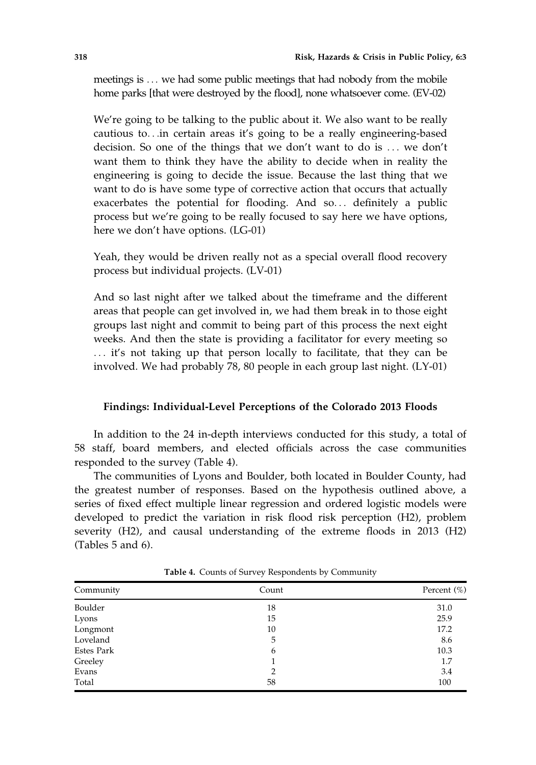meetings is ... we had some public meetings that had nobody from the mobile home parks [that were destroyed by the flood], none whatsoever come. (EV-02)

We're going to be talking to the public about it. We also want to be really cautious to...in certain areas it's going to be a really engineering-based decision. So one of the things that we don't want to do is ... we don't want them to think they have the ability to decide when in reality the engineering is going to decide the issue. Because the last thing that we want to do is have some type of corrective action that occurs that actually exacerbates the potential for flooding. And so... definitely a public process but we're going to be really focused to say here we have options, here we don't have options. (LG-01)

Yeah, they would be driven really not as a special overall flood recovery process but individual projects. (LV-01)

And so last night after we talked about the timeframe and the different areas that people can get involved in, we had them break in to those eight groups last night and commit to being part of this process the next eight weeks. And then the state is providing a facilitator for every meeting so ... it's not taking up that person locally to facilitate, that they can be involved. We had probably 78, 80 people in each group last night. (LY-01)

## Findings: Individual-Level Perceptions of the Colorado 2013 Floods

In addition to the 24 in-depth interviews conducted for this study, a total of 58 staff, board members, and elected officials across the case communities responded to the survey (Table 4).

The communities of Lyons and Boulder, both located in Boulder County, had the greatest number of responses. Based on the hypothesis outlined above, a series of fixed effect multiple linear regression and ordered logistic models were developed to predict the variation in risk flood risk perception (H2), problem severity (H2), and causal understanding of the extreme floods in 2013 (H2) (Tables 5 and 6).

| Community  | Count | Percent $(\%)$ |
|------------|-------|----------------|
| Boulder    | 18    | 31.0           |
| Lyons      | 15    | 25.9           |
| Longmont   | 10    | 17.2           |
| Loveland   | 5     | 8.6            |
| Estes Park | 6     | 10.3           |
| Greeley    |       | 1.7            |
| Evans      | 2     | 3.4            |
| Total      | 58    | 100            |

Table 4. Counts of Survey Respondents by Community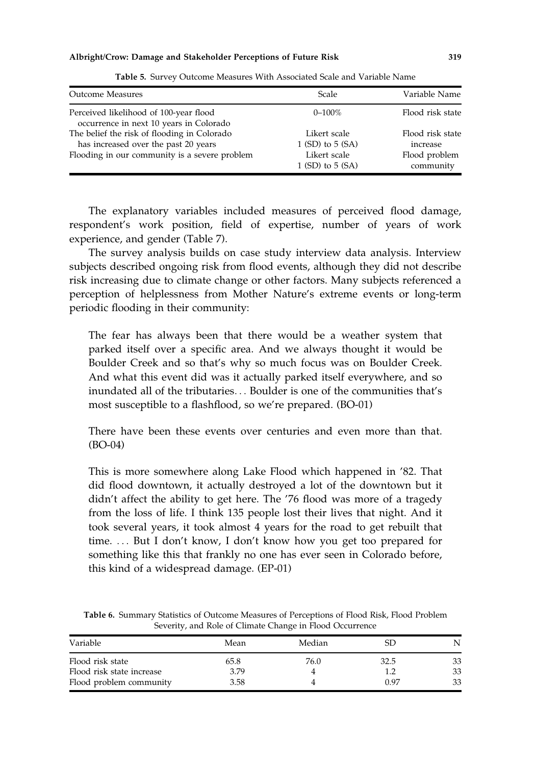#### Albright/Crow: Damage and Stakeholder Perceptions of Future Risk 319

| <b>Outcome Measures</b>                                                                                                              | Scale                                                                        | Variable Name                                              |
|--------------------------------------------------------------------------------------------------------------------------------------|------------------------------------------------------------------------------|------------------------------------------------------------|
| Perceived likelihood of 100-year flood<br>occurrence in next 10 years in Colorado                                                    | $0 - 100\%$                                                                  | Flood risk state                                           |
| The belief the risk of flooding in Colorado<br>has increased over the past 20 years<br>Flooding in our community is a severe problem | Likert scale<br>$1$ (SD) to $5$ (SA)<br>Likert scale<br>$1$ (SD) to $5$ (SA) | Flood risk state<br>increase<br>Flood problem<br>community |

Table 5. Survey Outcome Measures With Associated Scale and Variable Name

The explanatory variables included measures of perceived flood damage, respondent's work position, field of expertise, number of years of work experience, and gender (Table 7).

The survey analysis builds on case study interview data analysis. Interview subjects described ongoing risk from flood events, although they did not describe risk increasing due to climate change or other factors. Many subjects referenced a perception of helplessness from Mother Nature's extreme events or long-term periodic flooding in their community:

The fear has always been that there would be a weather system that parked itself over a specific area. And we always thought it would be Boulder Creek and so that's why so much focus was on Boulder Creek. And what this event did was it actually parked itself everywhere, and so inundated all of the tributaries... Boulder is one of the communities that's most susceptible to a flashflood, so we're prepared. (BO-01)

There have been these events over centuries and even more than that. (BO-04)

This is more somewhere along Lake Flood which happened in '82. That did flood downtown, it actually destroyed a lot of the downtown but it didn't affect the ability to get here. The '76 flood was more of a tragedy from the loss of life. I think 135 people lost their lives that night. And it took several years, it took almost 4 years for the road to get rebuilt that time. ... But I don't know, I don't know how you get too prepared for something like this that frankly no one has ever seen in Colorado before, this kind of a widespread damage. (EP-01)

Table 6. Summary Statistics of Outcome Measures of Perceptions of Flood Risk, Flood Problem Severity, and Role of Climate Change in Flood Occurrence

| Variable                  | Mean | Median |      | N  |
|---------------------------|------|--------|------|----|
| Flood risk state          | 65.8 | 76.0   | 32.5 | 33 |
| Flood risk state increase | 3.79 |        |      | 33 |
| Flood problem community   | 3.58 |        | 0.97 | 33 |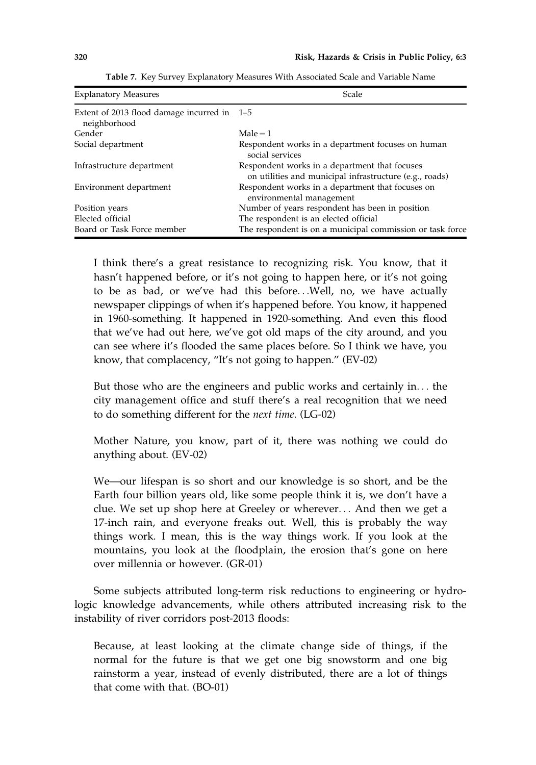| <b>Explanatory Measures</b>                                   | Scale                                                                                                    |
|---------------------------------------------------------------|----------------------------------------------------------------------------------------------------------|
| Extent of 2013 flood damage incurred in $1-5$<br>neighborhood |                                                                                                          |
| Gender                                                        | $Male = 1$                                                                                               |
| Social department                                             | Respondent works in a department focuses on human<br>social services                                     |
| Infrastructure department                                     | Respondent works in a department that focuses<br>on utilities and municipal infrastructure (e.g., roads) |
| Environment department                                        | Respondent works in a department that focuses on<br>environmental management                             |
| Position years                                                | Number of years respondent has been in position                                                          |
| Elected official                                              | The respondent is an elected official                                                                    |
| Board or Task Force member                                    | The respondent is on a municipal commission or task force                                                |

Table 7. Key Survey Explanatory Measures With Associated Scale and Variable Name

I think there's a great resistance to recognizing risk. You know, that it hasn't happened before, or it's not going to happen here, or it's not going to be as bad, or we've had this before...Well, no, we have actually newspaper clippings of when it's happened before. You know, it happened in 1960-something. It happened in 1920-something. And even this flood that we've had out here, we've got old maps of the city around, and you can see where it's flooded the same places before. So I think we have, you know, that complacency, "It's not going to happen." (EV-02)

But those who are the engineers and public works and certainly in... the city management office and stuff there's a real recognition that we need to do something different for the next time. (LG-02)

Mother Nature, you know, part of it, there was nothing we could do anything about. (EV-02)

We—our lifespan is so short and our knowledge is so short, and be the Earth four billion years old, like some people think it is, we don't have a clue. We set up shop here at Greeley or wherever... And then we get a 17-inch rain, and everyone freaks out. Well, this is probably the way things work. I mean, this is the way things work. If you look at the mountains, you look at the floodplain, the erosion that's gone on here over millennia or however. (GR-01)

Some subjects attributed long-term risk reductions to engineering or hydrologic knowledge advancements, while others attributed increasing risk to the instability of river corridors post-2013 floods:

Because, at least looking at the climate change side of things, if the normal for the future is that we get one big snowstorm and one big rainstorm a year, instead of evenly distributed, there are a lot of things that come with that. (BO-01)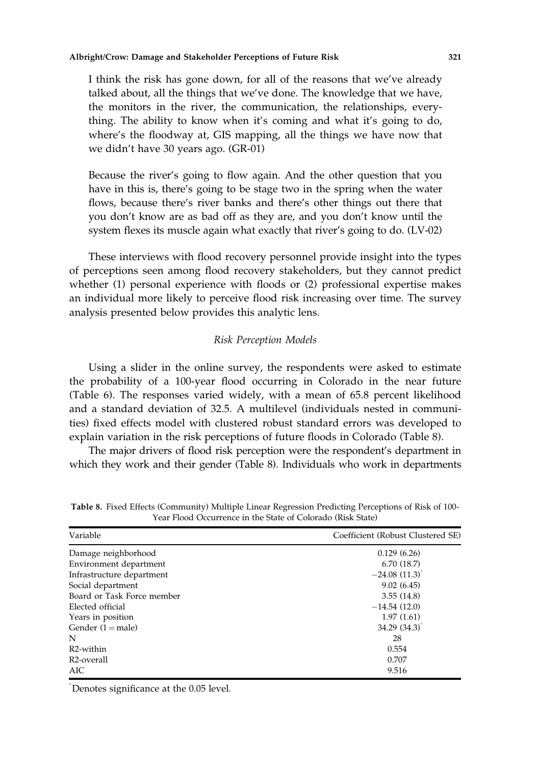I think the risk has gone down, for all of the reasons that we've already talked about, all the things that we've done. The knowledge that we have, the monitors in the river, the communication, the relationships, everything. The ability to know when it's coming and what it's going to do, where's the floodway at, GIS mapping, all the things we have now that we didn't have 30 years ago. (GR-01)

Because the river's going to flow again. And the other question that you have in this is, there's going to be stage two in the spring when the water flows, because there's river banks and there's other things out there that you don't know are as bad off as they are, and you don't know until the system flexes its muscle again what exactly that river's going to do. (LV-02)

These interviews with flood recovery personnel provide insight into the types of perceptions seen among flood recovery stakeholders, but they cannot predict whether (1) personal experience with floods or (2) professional expertise makes an individual more likely to perceive flood risk increasing over time. The survey analysis presented below provides this analytic lens.

## Risk Perception Models

Using a slider in the online survey, the respondents were asked to estimate the probability of a 100-year flood occurring in Colorado in the near future (Table 6). The responses varied widely, with a mean of 65.8 percent likelihood and a standard deviation of 32.5. A multilevel (individuals nested in communities) fixed effects model with clustered robust standard errors was developed to explain variation in the risk perceptions of future floods in Colorado (Table 8).

The major drivers of flood risk perception were the respondent's department in which they work and their gender (Table 8). Individuals who work in departments

| Variable                   | Coefficient (Robust Clustered SE) |
|----------------------------|-----------------------------------|
| Damage neighborhood        | 0.129(6.26)                       |
| Environment department     | 6.70(18.7)                        |
| Infrastructure department  | $-24.08(11.3)$                    |
| Social department          | 9.02(6.45)                        |
| Board or Task Force member | 3.55(14.8)                        |
| Elected official           | $-14.54(12.0)$                    |
| Years in position          | 1.97(1.61)                        |
| Gender $(1 = male)$        | $34.29$ $(34.3)$ <sup>*</sup>     |
| N                          | 28                                |
| R <sub>2</sub> -within     | 0.554                             |
| R2-overall                 | 0.707                             |
| AIC                        | 9.516                             |
|                            |                                   |

Table 8. Fixed Effects (Community) Multiple Linear Regression Predicting Perceptions of Risk of 100- Year Flood Occurrence in the State of Colorado (Risk State)

Denotes significance at the 0.05 level.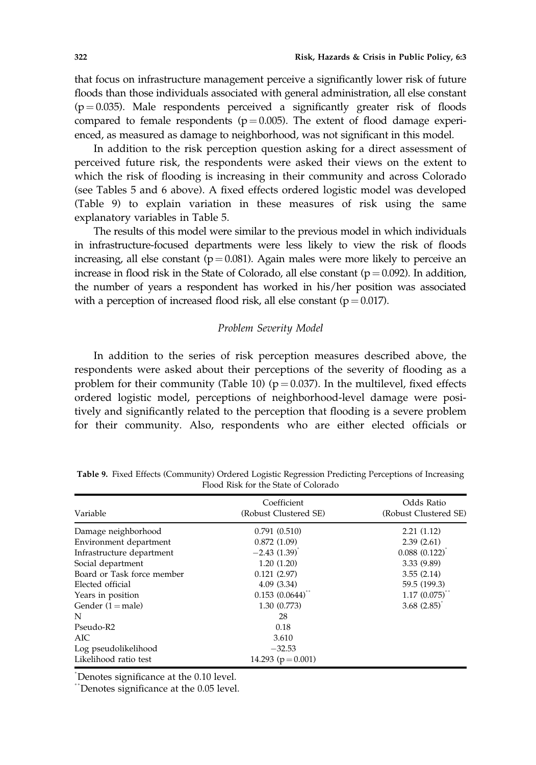that focus on infrastructure management perceive a significantly lower risk of future floods than those individuals associated with general administration, all else constant  $(p= 0.035)$ . Male respondents perceived a significantly greater risk of floods compared to female respondents ( $p = 0.005$ ). The extent of flood damage experienced, as measured as damage to neighborhood, was not significant in this model.

In addition to the risk perception question asking for a direct assessment of perceived future risk, the respondents were asked their views on the extent to which the risk of flooding is increasing in their community and across Colorado (see Tables 5 and 6 above). A fixed effects ordered logistic model was developed (Table 9) to explain variation in these measures of risk using the same explanatory variables in Table 5.

The results of this model were similar to the previous model in which individuals in infrastructure-focused departments were less likely to view the risk of floods increasing, all else constant ( $p = 0.081$ ). Again males were more likely to perceive an increase in flood risk in the State of Colorado, all else constant ( $p = 0.092$ ). In addition, the number of years a respondent has worked in his/her position was associated with a perception of increased flood risk, all else constant ( $p = 0.017$ ).

## Problem Severity Model

In addition to the series of risk perception measures described above, the respondents were asked about their perceptions of the severity of flooding as a problem for their community (Table 10) ( $p = 0.037$ ). In the multilevel, fixed effects ordered logistic model, perceptions of neighborhood-level damage were positively and significantly related to the perception that flooding is a severe problem for their community. Also, respondents who are either elected officials or

| Variable                   | Coefficient<br>(Robust Clustered SE) | Odds Ratio<br>(Robust Clustered SE) |
|----------------------------|--------------------------------------|-------------------------------------|
| Damage neighborhood        | 0.791(0.510)                         | 2.21(1.12)                          |
| Environment department     | 0.872(1.09)                          | 2.39(2.61)                          |
| Infrastructure department  | $-2.43(1.39)^{^{\circ}}$             | 0.088(0.122)                        |
| Social department          | 1.20(1.20)                           | 3.33 (9.89)                         |
| Board or Task force member | 0.121(2.97)                          | 3.55(2.14)                          |
| Elected official           | 4.09(3.34)                           | 59.5 (199.3)                        |
| Years in position          | 0.153(0.0644)                        | $1.17(0.075)^{*}$                   |
| Gender $(1 = male)$        | 1.30 (0.773)                         | $3.68$ $(2.85)^{\degree}$           |
| N                          | 28                                   |                                     |
| Pseudo-R2                  | 0.18                                 |                                     |
| AIC                        | 3.610                                |                                     |
| Log pseudolikelihood       | $-32.53$                             |                                     |
| Likelihood ratio test      | 14.293 ( $p = 0.001$ )               |                                     |

Table 9. Fixed Effects (Community) Ordered Logistic Regression Predicting Perceptions of Increasing Flood Risk for the State of Colorado

Denotes significance at the 0.10 level.

Denotes significance at the 0.05 level.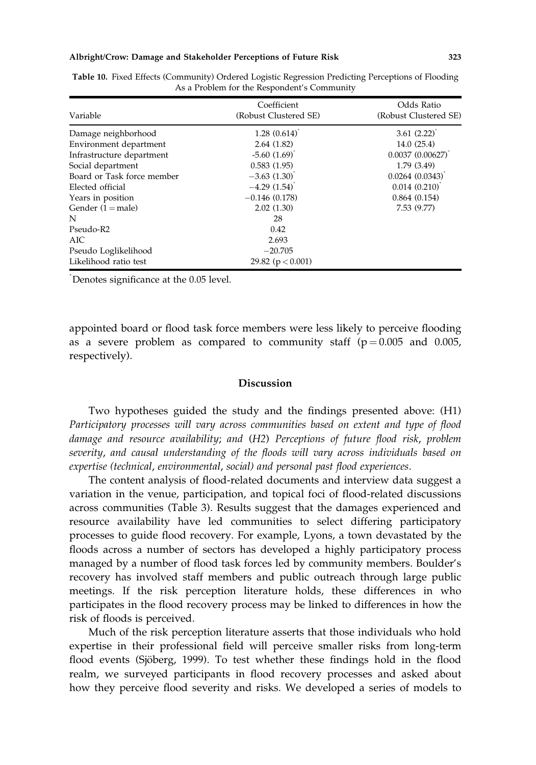#### Albright/Crow: Damage and Stakeholder Perceptions of Future Risk 323

| Variable                   | Coefficient<br>(Robust Clustered SE) | Odds Ratio<br>(Robust Clustered SE) |
|----------------------------|--------------------------------------|-------------------------------------|
| Damage neighborhood        | $1.28$ $(0.614)$ <sup>*</sup>        | 3.61(2.22)                          |
| Environment department     | 2.64(1.82)                           | 14.0(25.4)                          |
| Infrastructure department  | $-5.60$ $(1.69)^{*}$                 | 0.0037(0.00627)                     |
| Social department          | 0.583(1.95)                          | 1.79(3.49)                          |
| Board or Task force member | $-3.63(1.30)^{*}$                    | 0.0264(0.0343)                      |
| Elected official           | $-4.29(1.54)$ <sup>*</sup>           | 0.014(0.210)                        |
| Years in position          | $-0.146(0.178)$                      | 0.864(0.154)                        |
| Gender $(1 = male)$        | 2.02(1.30)                           | 7.53 (9.77)                         |
| N                          | 28                                   |                                     |
| Pseudo-R2                  | 0.42                                 |                                     |
| AIC                        | 2.693                                |                                     |
| Pseudo Loglikelihood       | $-20.705$                            |                                     |
| Likelihood ratio test      | 29.82 ( $p < 0.001$ )                |                                     |

| Table 10. Fixed Effects (Community) Ordered Logistic Regression Predicting Perceptions of Flooding |                                             |  |  |
|----------------------------------------------------------------------------------------------------|---------------------------------------------|--|--|
|                                                                                                    | As a Problem for the Respondent's Community |  |  |

Denotes significance at the 0.05 level.

appointed board or flood task force members were less likely to perceive flooding as a severe problem as compared to community staff  $(p = 0.005$  and 0.005, respectively).

#### Discussion

Two hypotheses guided the study and the findings presented above: (H1) Participatory processes will vary across communities based on extent and type of flood damage and resource availability; and (H2) Perceptions of future flood risk, problem severity, and causal understanding of the floods will vary across individuals based on expertise (technical, environmental, social) and personal past flood experiences.

The content analysis of flood-related documents and interview data suggest a variation in the venue, participation, and topical foci of flood-related discussions across communities (Table 3). Results suggest that the damages experienced and resource availability have led communities to select differing participatory processes to guide flood recovery. For example, Lyons, a town devastated by the floods across a number of sectors has developed a highly participatory process managed by a number of flood task forces led by community members. Boulder's recovery has involved staff members and public outreach through large public meetings. If the risk perception literature holds, these differences in who participates in the flood recovery process may be linked to differences in how the risk of floods is perceived.

Much of the risk perception literature asserts that those individuals who hold expertise in their professional field will perceive smaller risks from long-term flood events (Sjöberg, 1999). To test whether these findings hold in the flood realm, we surveyed participants in flood recovery processes and asked about how they perceive flood severity and risks. We developed a series of models to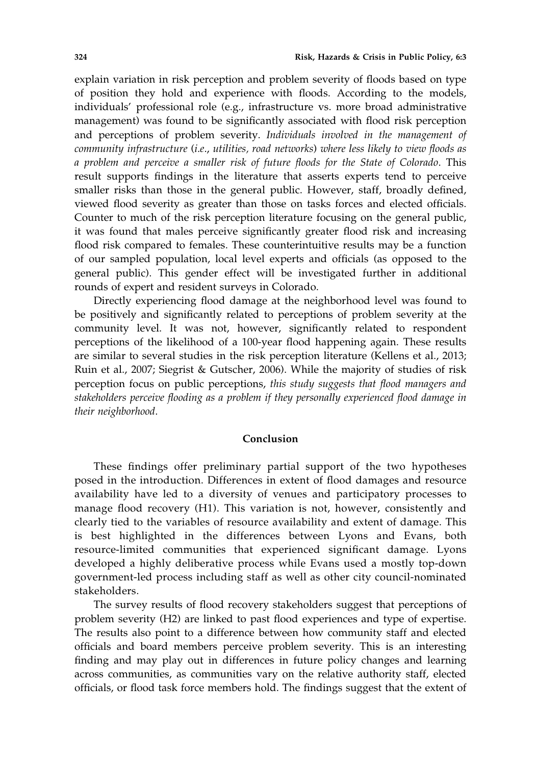explain variation in risk perception and problem severity of floods based on type of position they hold and experience with floods. According to the models, individuals' professional role (e.g., infrastructure vs. more broad administrative management) was found to be significantly associated with flood risk perception and perceptions of problem severity. Individuals involved in the management of community infrastructure (i.e., utilities, road networks) where less likely to view floods as a problem and perceive a smaller risk of future floods for the State of Colorado. This result supports findings in the literature that asserts experts tend to perceive smaller risks than those in the general public. However, staff, broadly defined, viewed flood severity as greater than those on tasks forces and elected officials. Counter to much of the risk perception literature focusing on the general public, it was found that males perceive significantly greater flood risk and increasing flood risk compared to females. These counterintuitive results may be a function of our sampled population, local level experts and officials (as opposed to the general public). This gender effect will be investigated further in additional rounds of expert and resident surveys in Colorado.

Directly experiencing flood damage at the neighborhood level was found to be positively and significantly related to perceptions of problem severity at the community level. It was not, however, significantly related to respondent perceptions of the likelihood of a 100-year flood happening again. These results are similar to several studies in the risk perception literature (Kellens et al., 2013; Ruin et al., 2007; Siegrist & Gutscher, 2006). While the majority of studies of risk perception focus on public perceptions, this study suggests that flood managers and stakeholders perceive flooding as a problem if they personally experienced flood damage in their neighborhood.

## Conclusion

These findings offer preliminary partial support of the two hypotheses posed in the introduction. Differences in extent of flood damages and resource availability have led to a diversity of venues and participatory processes to manage flood recovery (H1). This variation is not, however, consistently and clearly tied to the variables of resource availability and extent of damage. This is best highlighted in the differences between Lyons and Evans, both resource-limited communities that experienced significant damage. Lyons developed a highly deliberative process while Evans used a mostly top-down government-led process including staff as well as other city council-nominated stakeholders.

The survey results of flood recovery stakeholders suggest that perceptions of problem severity (H2) are linked to past flood experiences and type of expertise. The results also point to a difference between how community staff and elected officials and board members perceive problem severity. This is an interesting finding and may play out in differences in future policy changes and learning across communities, as communities vary on the relative authority staff, elected officials, or flood task force members hold. The findings suggest that the extent of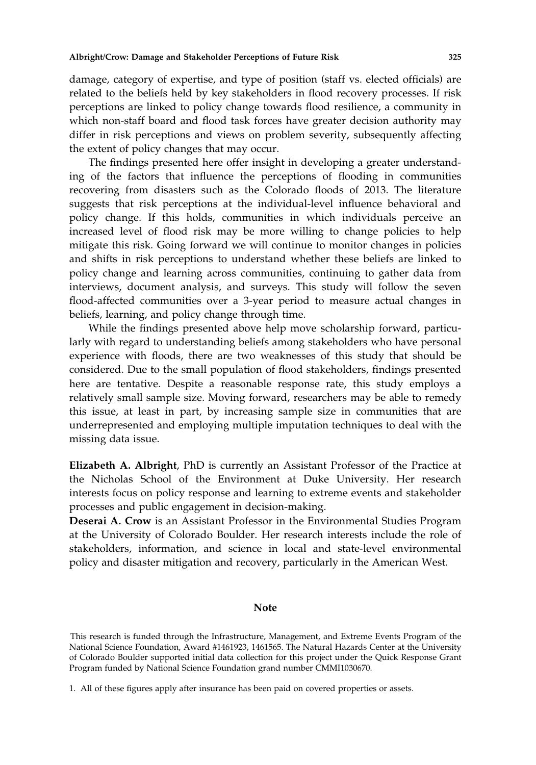damage, category of expertise, and type of position (staff vs. elected officials) are related to the beliefs held by key stakeholders in flood recovery processes. If risk perceptions are linked to policy change towards flood resilience, a community in which non-staff board and flood task forces have greater decision authority may differ in risk perceptions and views on problem severity, subsequently affecting the extent of policy changes that may occur.

The findings presented here offer insight in developing a greater understanding of the factors that influence the perceptions of flooding in communities recovering from disasters such as the Colorado floods of 2013. The literature suggests that risk perceptions at the individual-level influence behavioral and policy change. If this holds, communities in which individuals perceive an increased level of flood risk may be more willing to change policies to help mitigate this risk. Going forward we will continue to monitor changes in policies and shifts in risk perceptions to understand whether these beliefs are linked to policy change and learning across communities, continuing to gather data from interviews, document analysis, and surveys. This study will follow the seven flood-affected communities over a 3-year period to measure actual changes in beliefs, learning, and policy change through time.

While the findings presented above help move scholarship forward, particularly with regard to understanding beliefs among stakeholders who have personal experience with floods, there are two weaknesses of this study that should be considered. Due to the small population of flood stakeholders, findings presented here are tentative. Despite a reasonable response rate, this study employs a relatively small sample size. Moving forward, researchers may be able to remedy this issue, at least in part, by increasing sample size in communities that are underrepresented and employing multiple imputation techniques to deal with the missing data issue.

Elizabeth A. Albright, PhD is currently an Assistant Professor of the Practice at the Nicholas School of the Environment at Duke University. Her research interests focus on policy response and learning to extreme events and stakeholder processes and public engagement in decision-making.

Deserai A. Crow is an Assistant Professor in the Environmental Studies Program at the University of Colorado Boulder. Her research interests include the role of stakeholders, information, and science in local and state-level environmental policy and disaster mitigation and recovery, particularly in the American West.

#### Note

This research is funded through the Infrastructure, Management, and Extreme Events Program of the National Science Foundation, Award #1461923, 1461565. The Natural Hazards Center at the University of Colorado Boulder supported initial data collection for this project under the Quick Response Grant Program funded by National Science Foundation grand number CMMI1030670.

<sup>1.</sup> All of these figures apply after insurance has been paid on covered properties or assets.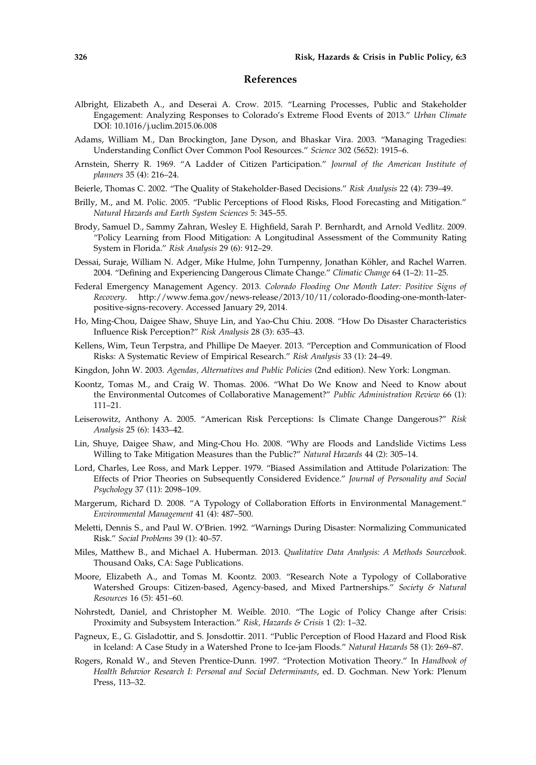#### References

- Albright, Elizabeth A., and Deserai A. Crow. 2015. "Learning Processes, Public and Stakeholder Engagement: Analyzing Responses to Colorado's Extreme Flood Events of 2013." Urban Climate DOI: 10.1016/j.uclim.2015.06.008
- Adams, William M., Dan Brockington, Jane Dyson, and Bhaskar Vira. 2003. "Managing Tragedies: Understanding Conflict Over Common Pool Resources." Science 302 (5652): 1915–6.
- Arnstein, Sherry R. 1969. "A Ladder of Citizen Participation." Journal of the American Institute of planners 35 (4): 216–24.
- Beierle, Thomas C. 2002. "The Quality of Stakeholder-Based Decisions." Risk Analysis 22 (4): 739–49.
- Brilly, M., and M. Polic. 2005. "Public Perceptions of Flood Risks, Flood Forecasting and Mitigation." Natural Hazards and Earth System Sciences 5: 345–55.
- Brody, Samuel D., Sammy Zahran, Wesley E. Highfield, Sarah P. Bernhardt, and Arnold Vedlitz. 2009. "Policy Learning from Flood Mitigation: A Longitudinal Assessment of the Community Rating System in Florida." Risk Analysis 29 (6): 912–29.
- Dessai, Suraje, William N. Adger, Mike Hulme, John Turnpenny, Jonathan Köhler, and Rachel Warren. 2004. "Defining and Experiencing Dangerous Climate Change." Climatic Change 64 (1–2): 11–25.
- Federal Emergency Management Agency. 2013. Colorado Flooding One Month Later: Positive Signs of Recovery. [http://www.fema.gov/news-release/2013/10/11/colorado-flooding-one-month-later](<url href&x003D;)[positive-signs-recovery](<url href&x003D;). Accessed January 29, 2014.
- Ho, Ming-Chou, Daigee Shaw, Shuye Lin, and Yao-Chu Chiu. 2008. "How Do Disaster Characteristics Influence Risk Perception?" Risk Analysis 28 (3): 635–43.
- Kellens, Wim, Teun Terpstra, and Phillipe De Maeyer. 2013. "Perception and Communication of Flood Risks: A Systematic Review of Empirical Research." Risk Analysis 33 (1): 24–49.
- Kingdon, John W. 2003. Agendas, Alternatives and Public Policies (2nd edition). New York: Longman.
- Koontz, Tomas M., and Craig W. Thomas. 2006. "What Do We Know and Need to Know about the Environmental Outcomes of Collaborative Management?" Public Administration Review 66 (1): 111–21.
- Leiserowitz, Anthony A. 2005. "American Risk Perceptions: Is Climate Change Dangerous?" Risk Analysis 25 (6): 1433–42.
- Lin, Shuye, Daigee Shaw, and Ming-Chou Ho. 2008. "Why are Floods and Landslide Victims Less Willing to Take Mitigation Measures than the Public?" Natural Hazards 44 (2): 305–14.
- Lord, Charles, Lee Ross, and Mark Lepper. 1979. "Biased Assimilation and Attitude Polarization: The Effects of Prior Theories on Subsequently Considered Evidence." Journal of Personality and Social Psychology 37 (11): 2098–109.
- Margerum, Richard D. 2008. "A Typology of Collaboration Efforts in Environmental Management." Environmental Management 41 (4): 487–500.
- Meletti, Dennis S., and Paul W. O'Brien. 1992. "Warnings During Disaster: Normalizing Communicated Risk." Social Problems 39 (1): 40–57.
- Miles, Matthew B., and Michael A. Huberman. 2013. Qualitative Data Analysis: A Methods Sourcebook. Thousand Oaks, CA: Sage Publications.
- Moore, Elizabeth A., and Tomas M. Koontz. 2003. "Research Note a Typology of Collaborative Watershed Groups: Citizen-based, Agency-based, and Mixed Partnerships." Society & Natural Resources 16 (5): 451–60.
- Nohrstedt, Daniel, and Christopher M. Weible. 2010. "The Logic of Policy Change after Crisis: Proximity and Subsystem Interaction." Risk, Hazards & Crisis 1 (2): 1-32.
- Pagneux, E., G. Gisladottir, and S. Jonsdottir. 2011. "Public Perception of Flood Hazard and Flood Risk in Iceland: A Case Study in a Watershed Prone to Ice-jam Floods." Natural Hazards 58 (1): 269–87.
- Rogers, Ronald W., and Steven Prentice-Dunn. 1997. "Protection Motivation Theory." In Handbook of Health Behavior Research I: Personal and Social Determinants, ed. D. Gochman. New York: Plenum Press, 113–32.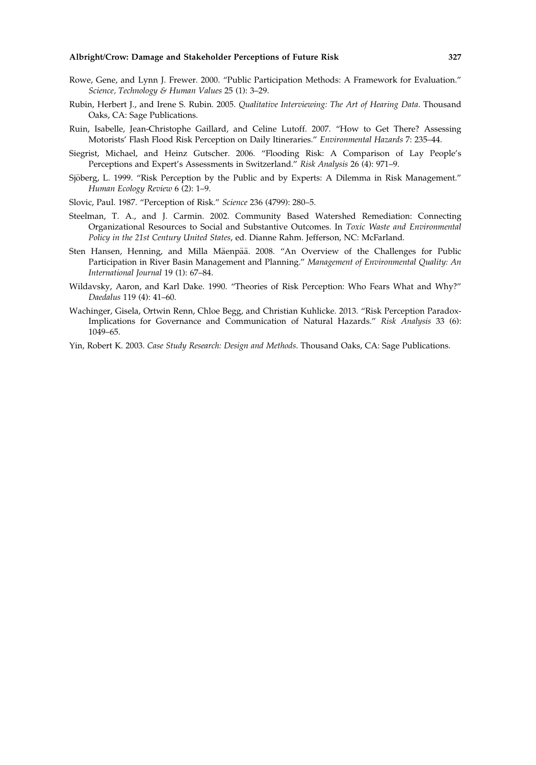#### Albright/Crow: Damage and Stakeholder Perceptions of Future Risk 327

- Rowe, Gene, and Lynn J. Frewer. 2000. "Public Participation Methods: A Framework for Evaluation." Science, Technology & Human Values 25 (1): 3–29.
- Rubin, Herbert J., and Irene S. Rubin. 2005. Qualitative Interviewing: The Art of Hearing Data. Thousand Oaks, CA: Sage Publications.
- Ruin, Isabelle, Jean-Christophe Gaillard, and Celine Lutoff. 2007. "How to Get There? Assessing Motorists' Flash Flood Risk Perception on Daily Itineraries." Environmental Hazards 7: 235–44.
- Siegrist, Michael, and Heinz Gutscher. 2006. "Flooding Risk: A Comparison of Lay People's Perceptions and Expert's Assessments in Switzerland." Risk Analysis 26 (4): 971–9.
- Sjöberg, L. 1999. "Risk Perception by the Public and by Experts: A Dilemma in Risk Management." Human Ecology Review 6 (2): 1–9.
- Slovic, Paul. 1987. "Perception of Risk." Science 236 (4799): 280–5.
- Steelman, T. A., and J. Carmin. 2002. Community Based Watershed Remediation: Connecting Organizational Resources to Social and Substantive Outcomes. In Toxic Waste and Environmental Policy in the 21st Century United States, ed. Dianne Rahm. Jefferson, NC: McFarland.
- Sten Hansen, Henning, and Milla Mäenpää. 2008. "An Overview of the Challenges for Public Participation in River Basin Management and Planning." Management of Environmental Quality: An International Journal 19 (1): 67–84.
- Wildavsky, Aaron, and Karl Dake. 1990. "Theories of Risk Perception: Who Fears What and Why?" Daedalus 119 (4): 41–60.
- Wachinger, Gisela, Ortwin Renn, Chloe Begg, and Christian Kuhlicke. 2013. "Risk Perception Paradox-Implications for Governance and Communication of Natural Hazards." Risk Analysis 33 (6): 1049–65.
- Yin, Robert K. 2003. Case Study Research: Design and Methods. Thousand Oaks, CA: Sage Publications.